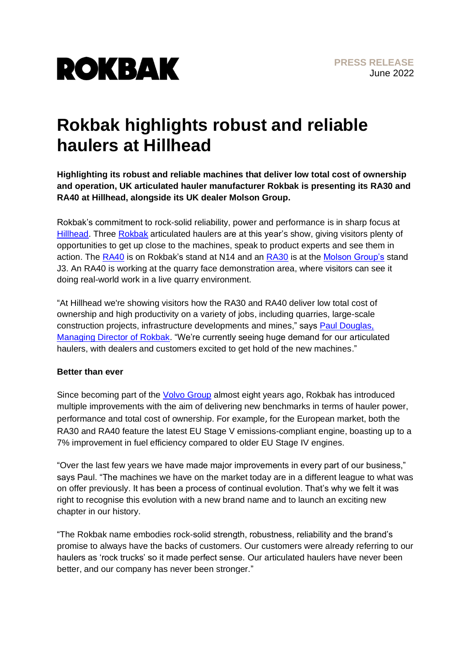

## **Rokbak highlights robust and reliable haulers at Hillhead**

**Highlighting its robust and reliable machines that deliver low total cost of ownership and operation, UK articulated hauler manufacturer Rokbak is presenting its RA30 and RA40 at Hillhead, alongside its UK dealer Molson Group.**

Rokbak's commitment to rock-solid reliability, power and performance is in sharp focus at [Hillhead.](https://www.hillhead.com/) Three [Rokbak](https://rokbak.com/) articulated haulers are at this year's show, giving visitors plenty of opportunities to get up close to the machines, speak to product experts and see them in action. The [RA40](https://rokbak.com/ra40/) is on Rokbak's stand at N14 and an [RA30](https://rokbak.com/ra30/) is at the [Molson Group's](https://molsongroup.co.uk/equipment/machine-category/articulated-dump-trucks/) stand J3. An RA40 is working at the quarry face demonstration area, where visitors can see it doing real-world work in a live quarry environment.

"At Hillhead we're showing visitors how the RA30 and RA40 deliver low total cost of ownership and high productivity on a variety of jobs, including quarries, large-scale construction projects, infrastructure developments and mines," says [Paul Douglas,](https://www.linkedin.com/in/paul-douglas-1b23037/?originalSubdomain=uk)  [Managing Director of Rokbak.](https://www.linkedin.com/in/paul-douglas-1b23037/?originalSubdomain=uk) "We're currently seeing huge demand for our articulated haulers, with dealers and customers excited to get hold of the new machines."

## **Better than ever**

Since becoming part of the [Volvo Group](http://www.volvogroup.com/) almost eight years ago, Rokbak has introduced multiple improvements with the aim of delivering new benchmarks in terms of hauler power, performance and total cost of ownership. For example, for the European market, both the RA30 and RA40 feature the latest EU Stage V emissions-compliant engine, boasting up to a 7% improvement in fuel efficiency compared to older EU Stage IV engines.

"Over the last few years we have made major improvements in every part of our business," says Paul. "The machines we have on the market today are in a different league to what was on offer previously. It has been a process of continual evolution. That's why we felt it was right to recognise this evolution with a new brand name and to launch an exciting new chapter in our history.

"The Rokbak name embodies rock-solid strength, robustness, reliability and the brand's promise to always have the backs of customers. Our customers were already referring to our haulers as 'rock trucks' so it made perfect sense. Our articulated haulers have never been better, and our company has never been stronger."